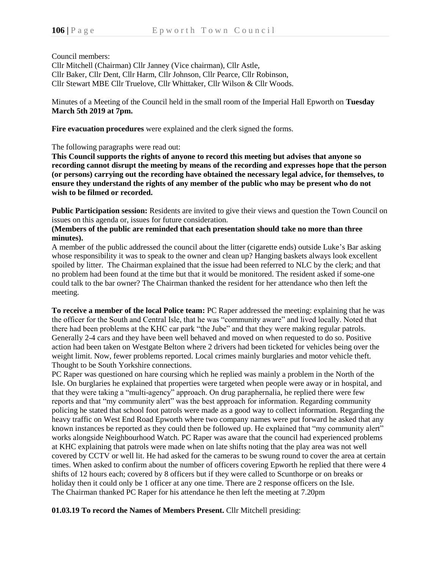Council members:

Cllr Mitchell (Chairman) Cllr Janney (Vice chairman), Cllr Astle, Cllr Baker, Cllr Dent, Cllr Harm, Cllr Johnson, Cllr Pearce, Cllr Robinson, Cllr Stewart MBE Cllr Truelove, Cllr Whittaker, Cllr Wilson & Cllr Woods.

Minutes of a Meeting of the Council held in the small room of the Imperial Hall Epworth on **Tuesday March 5th 2019 at 7pm.**

**Fire evacuation procedures** were explained and the clerk signed the forms.

The following paragraphs were read out:

**This Council supports the rights of anyone to record this meeting but advises that anyone so recording cannot disrupt the meeting by means of the recording and expresses hope that the person (or persons) carrying out the recording have obtained the necessary legal advice, for themselves, to ensure they understand the rights of any member of the public who may be present who do not wish to be filmed or recorded.**

**Public Participation session:** Residents are invited to give their views and question the Town Council on issues on this agenda or, issues for future consideration.

## **(Members of the public are reminded that each presentation should take no more than three minutes).**

A member of the public addressed the council about the litter (cigarette ends) outside Luke's Bar asking whose responsibility it was to speak to the owner and clean up? Hanging baskets always look excellent spoiled by litter. The Chairman explained that the issue had been referred to NLC by the clerk; and that no problem had been found at the time but that it would be monitored. The resident asked if some-one could talk to the bar owner? The Chairman thanked the resident for her attendance who then left the meeting.

**To receive a member of the local Police team:** PC Raper addressed the meeting: explaining that he was the officer for the South and Central Isle, that he was "community aware" and lived locally. Noted that there had been problems at the KHC car park "the Jube" and that they were making regular patrols. Generally 2-4 cars and they have been well behaved and moved on when requested to do so. Positive action had been taken on Westgate Belton where 2 drivers had been ticketed for vehicles being over the weight limit. Now, fewer problems reported. Local crimes mainly burglaries and motor vehicle theft. Thought to be South Yorkshire connections.

PC Raper was questioned on hare coursing which he replied was mainly a problem in the North of the Isle. On burglaries he explained that properties were targeted when people were away or in hospital, and that they were taking a "multi-agency" approach. On drug paraphernalia, he replied there were few reports and that "my community alert" was the best approach for information. Regarding community policing he stated that school foot patrols were made as a good way to collect information. Regarding the heavy traffic on West End Road Epworth where two company names were put forward he asked that any known instances be reported as they could then be followed up. He explained that "my community alert" works alongside Neighbourhood Watch. PC Raper was aware that the council had experienced problems at KHC explaining that patrols were made when on late shifts noting that the play area was not well covered by CCTV or well lit. He had asked for the cameras to be swung round to cover the area at certain times. When asked to confirm about the number of officers covering Epworth he replied that there were 4 shifts of 12 hours each; covered by 8 officers but if they were called to Scunthorpe or on breaks or holiday then it could only be 1 officer at any one time. There are 2 response officers on the Isle. The Chairman thanked PC Raper for his attendance he then left the meeting at 7.20pm

**01.03.19 To record the Names of Members Present.** Cllr Mitchell presiding: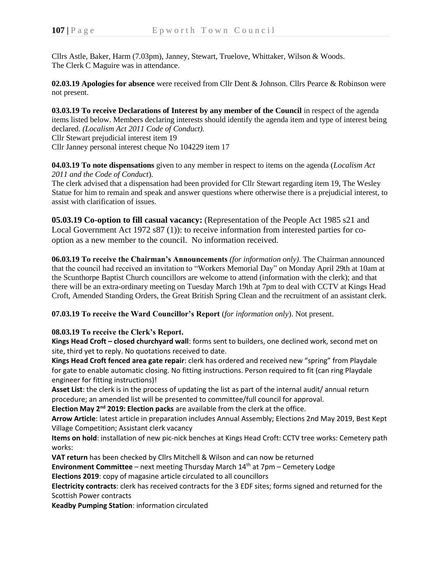Cllrs Astle, Baker, Harm (7.03pm), Janney, Stewart, Truelove, Whittaker, Wilson & Woods. The Clerk C Maguire was in attendance.

**02.03.19 Apologies for absence** were received from Cllr Dent & Johnson. Cllrs Pearce & Robinson were not present.

**03.03.19 To receive Declarations of Interest by any member of the Council** in respect of the agenda items listed below. Members declaring interests should identify the agenda item and type of interest being declared. *(Localism Act 2011 Code of Conduct).* Cllr Stewart prejudicial interest item 19 Cllr Janney personal interest cheque No 104229 item 17

**04.03.19 To note dispensations** given to any member in respect to items on the agenda (*Localism Act 2011 and the Code of Conduct*).

The clerk advised that a dispensation had been provided for Cllr Stewart regarding item 19, The Wesley Statue for him to remain and speak and answer questions where otherwise there is a prejudicial interest, to assist with clarification of issues.

**05.03.19 Co-option to fill casual vacancy:** (Representation of the People Act 1985 s21 and Local Government Act 1972 s87 (1)): to receive information from interested parties for cooption as a new member to the council. No information received.

**06.03.19 To receive the Chairman's Announcements** *(for information only)*. The Chairman announced that the council had received an invitation to "Workers Memorial Day" on Monday April 29th at 10am at the Scunthorpe Baptist Church councillors are welcome to attend (information with the clerk); and that there will be an extra-ordinary meeting on Tuesday March 19th at 7pm to deal with CCTV at Kings Head Croft, Amended Standing Orders, the Great British Spring Clean and the recruitment of an assistant clerk.

**07.03.19 To receive the Ward Councillor's Report** (*for information only*). Not present.

## **08.03.19 To receive the Clerk's Report.**

**Kings Head Croft – closed churchyard wall**: forms sent to builders, one declined work, second met on site, third yet to reply. No quotations received to date.

**Kings Head Croft fenced area gate repair**: clerk has ordered and received new "spring" from Playdale for gate to enable automatic closing. No fitting instructions. Person required to fit (can ring Playdale engineer for fitting instructions)!

**Asset List**: the clerk is in the process of updating the list as part of the internal audit/ annual return procedure; an amended list will be presented to committee/full council for approval.

**Election May 2nd 2019: Election packs** are available from the clerk at the office.

**Arrow Article**: latest article in preparation includes Annual Assembly; Elections 2nd May 2019, Best Kept Village Competition; Assistant clerk vacancy

**Items on hold**: installation of new pic-nick benches at Kings Head Croft: CCTV tree works: Cemetery path works:

**VAT return** has been checked by Cllrs Mitchell & Wilson and can now be returned

**Environment Committee** – next meeting Thursday March 14<sup>th</sup> at 7pm – Cemetery Lodge **Elections 2019**: copy of magasine article circulated to all councillors

**Electricity contracts**: clerk has received contracts for the 3 EDF sites; forms signed and returned for the Scottish Power contracts

**Keadby Pumping Station**: information circulated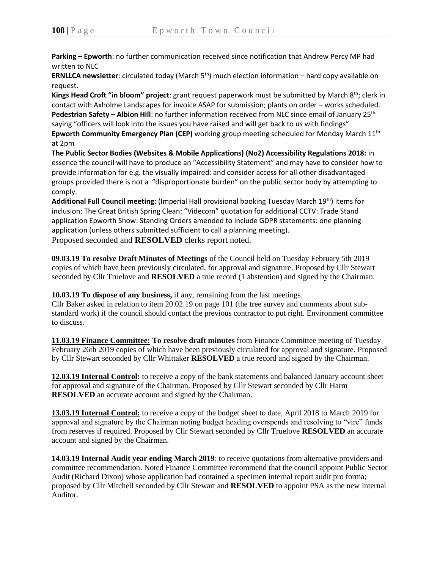**Parking – Epworth**: no further communication received since notification that Andrew Percy MP had written to NLC

**ERNLLCA newsletter**: circulated today (March 5<sup>th</sup>) much election information – hard copy available on request.

**Kings Head Croft "in bloom" project**: grant request paperwork must be submitted by March 8<sup>th</sup>; clerk in contact with Axholme Landscapes for invoice ASAP for submission; plants on order – works scheduled. **Pedestrian Safety – Albion Hill**: no further information received from NLC since email of January 25th saying "officers will look into the issues you have raised and will get back to us with findings" **Epworth Community Emergency Plan (CEP)** working group meeting scheduled for Monday March 11<sup>th</sup> at 2pm

**The Public Sector Bodies (Websites & Mobile Applications) (No2) Accessibility Regulations 2018:** in essence the council will have to produce an "Accessibility Statement" and may have to consider how to provide information for e.g. the visually impaired: and consider access for all other disadvantaged groups provided there is not a "disproportionate burden" on the public sector body by attempting to comply.

Additional Full Council meeting: (Imperial Hall provisional booking Tuesday March 19<sup>th</sup>) items for inclusion: The Great British Spring Clean: "Videcom" quotation for additional CCTV: Trade Stand application Epworth Show: Standing Orders amended to include GDPR statements: one planning application (unless others submitted sufficient to call a planning meeting).

Proposed seconded and **RESOLVED** clerks report noted.

**09.03.19 To resolve Draft Minutes of Meetings** of the Council held on Tuesday February 5th 2019 copies of which have been previously circulated, for approval and signature. Proposed by Cllr Stewart seconded by Cllr Truelove and **RESOLVED** a true record (1 abstention) and signed by the Chairman.

**10.03.19 To dispose of any business,** if any, remaining from the last meetings.

Cllr Baker asked in relation to item 20.02.19 on page 101 (the tree survey and comments about substandard work) if the council should contact the previous contractor to put right. Environment committee to discuss.

**11.03.19 Finance Committee: To resolve draft minutes** from Finance Committee meeting of Tuesday February 26th 2019 copies of which have been previously circulated for approval and signature. Proposed by Cllr Stewart seconded by Cllr Whittaker **RESOLVED** a true record and signed by the Chairman.

**12.03.19 Internal Control:** to receive a copy of the bank statements and balanced January account sheet for approval and signature of the Chairman. Proposed by Cllr Stewart seconded by Cllr Harm **RESOLVED** an accurate account and signed by the Chairman.

**13.03.19 Internal Control:** to receive a copy of the budget sheet to date, April 2018 to March 2019 for approval and signature by the Chairman noting budget heading overspends and resolving to "vire" funds from reserves if required. Proposed by Cllr Stewart seconded by Cllr Truelove **RESOLVED** an accurate account and signed by the Chairman.

**14.03.19 Internal Audit year ending March 2019**: to receive quotations from alternative providers and committee recommendation. Noted Finance Committee recommend that the council appoint Public Sector Audit (Richard Dixon) whose application had contained a specimen internal report audit pro forma; proposed by Cllr Mitchell seconded by Cllr Stewart and **RESOLVED** to appoint PSA as the new Internal Auditor.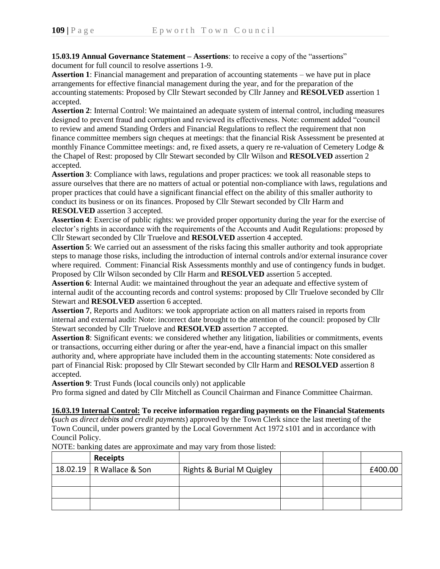**15.03.19 Annual Governance Statement – Assertions**: to receive a copy of the "assertions" document for full council to resolve assertions 1-9.

**Assertion 1**: Financial management and preparation of accounting statements – we have put in place arrangements for effective financial management during the year, and for the preparation of the accounting statements: Proposed by Cllr Stewart seconded by Cllr Janney and **RESOLVED** assertion 1 accepted.

**Assertion 2**: Internal Control: We maintained an adequate system of internal control, including measures designed to prevent fraud and corruption and reviewed its effectiveness. Note: comment added "council to review and amend Standing Orders and Financial Regulations to reflect the requirement that non finance committee members sign cheques at meetings: that the financial Risk Assessment be presented at monthly Finance Committee meetings: and, re fixed assets, a query re re-valuation of Cemetery Lodge & the Chapel of Rest: proposed by Cllr Stewart seconded by Cllr Wilson and **RESOLVED** assertion 2 accepted.

**Assertion 3**: Compliance with laws, regulations and proper practices: we took all reasonable steps to assure ourselves that there are no matters of actual or potential non-compliance with laws, regulations and proper practices that could have a significant financial effect on the ability of this smaller authority to conduct its business or on its finances. Proposed by Cllr Stewart seconded by Cllr Harm and **RESOLVED** assertion 3 accepted.

**Assertion 4**: Exercise of public rights: we provided proper opportunity during the year for the exercise of elector's rights in accordance with the requirements of the Accounts and Audit Regulations: proposed by Cllr Stewart seconded by Cllr Truelove and **RESOLVED** assertion 4 accepted.

**Assertion 5**: We carried out an assessment of the risks facing this smaller authority and took appropriate steps to manage those risks, including the introduction of internal controls and/or external insurance cover where required. Comment: Financial Risk Assessments monthly and use of contingency funds in budget. Proposed by Cllr Wilson seconded by Cllr Harm and **RESOLVED** assertion 5 accepted.

**Assertion 6**: Internal Audit: we maintained throughout the year an adequate and effective system of internal audit of the accounting records and control systems: proposed by Cllr Truelove seconded by Cllr Stewart and **RESOLVED** assertion 6 accepted.

**Assertion 7**, Reports and Auditors: we took appropriate action on all matters raised in reports from internal and external audit: Note: incorrect date brought to the attention of the council: proposed by Cllr Stewart seconded by Cllr Truelove and **RESOLVED** assertion 7 accepted.

**Assertion 8**: Significant events: we considered whether any litigation, liabilities or commitments, events or transactions, occurring either during or after the year-end, have a financial impact on this smaller authority and, where appropriate have included them in the accounting statements: Note considered as part of Financial Risk: proposed by Cllr Stewart seconded by Cllr Harm and **RESOLVED** assertion 8 accepted.

**Assertion 9**: Trust Funds (local councils only) not applicable

Pro forma signed and dated by Cllr Mitchell as Council Chairman and Finance Committee Chairman.

**16.03.19 Internal Control: To receive information regarding payments on the Financial Statements (***such as direct debits and credit payments*) approved by the Town Clerk since the last meeting of the Town Council, under powers granted by the Local Government Act 1972 s101 and in accordance with

Council Policy. NOTE: banking dates are approximate and may vary from those listed:

| <b>Receipts</b>            |                           |  |         |
|----------------------------|---------------------------|--|---------|
| 18.02.19   R Wallace & Son | Rights & Burial M Quigley |  | £400.00 |
|                            |                           |  |         |
|                            |                           |  |         |
|                            |                           |  |         |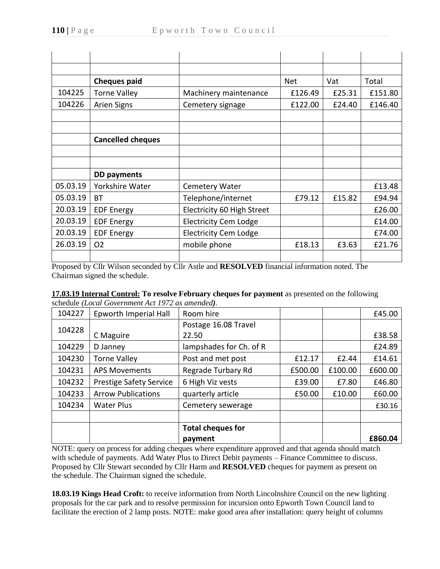|          | <b>Cheques paid</b>      |                              | <b>Net</b> | Vat    |         |
|----------|--------------------------|------------------------------|------------|--------|---------|
| 104225   | <b>Torne Valley</b>      | Machinery maintenance        | £126.49    | £25.31 | £151.80 |
| 104226   | <b>Arien Signs</b>       | Cemetery signage             | £122.00    | £24.40 | £146.40 |
|          |                          |                              |            |        |         |
|          |                          |                              |            |        |         |
|          | <b>Cancelled cheques</b> |                              |            |        |         |
|          |                          |                              |            |        |         |
|          |                          |                              |            |        |         |
|          | <b>DD</b> payments       |                              |            |        |         |
| 05.03.19 | Yorkshire Water          | <b>Cemetery Water</b>        |            |        | £13.48  |
| 05.03.19 | <b>BT</b>                | Telephone/internet           | £79.12     | £15.82 | £94.94  |
| 20.03.19 | <b>EDF Energy</b>        | Electricity 60 High Street   |            |        | £26.00  |
| 20.03.19 | <b>EDF Energy</b>        | <b>Electricity Cem Lodge</b> |            |        | £14.00  |
| 20.03.19 | <b>EDF Energy</b>        | <b>Electricity Cem Lodge</b> |            |        | £74.00  |
| 26.03.19 | O <sub>2</sub>           | mobile phone                 | £18.13     | £3.63  | £21.76  |
|          |                          |                              |            |        |         |

Proposed by Cllr Wilson seconded by Cllr Astle and **RESOLVED** financial information noted. The Chairman signed the schedule.

|  |                                                  |  | 17.03.19 Internal Control: To resolve February cheques for payment as presented on the following |  |
|--|--------------------------------------------------|--|--------------------------------------------------------------------------------------------------|--|
|  | schedule (Local Government Act 1972 as amended). |  |                                                                                                  |  |

| 104227 | Epworth Imperial Hall          | Room hire                |         |         | £45.00  |
|--------|--------------------------------|--------------------------|---------|---------|---------|
| 104228 |                                | Postage 16.08 Travel     |         |         |         |
|        | C Maguire                      | 22.50                    |         |         | £38.58  |
| 104229 | D Janney                       | lampshades for Ch. of R  |         | £24.89  |         |
| 104230 | <b>Torne Valley</b>            | Post and met post        | £12.17  | £2.44   | £14.61  |
| 104231 | <b>APS Movements</b>           | Regrade Turbary Rd       | £500.00 | £100.00 | £600.00 |
| 104232 | <b>Prestige Safety Service</b> | 6 High Viz vests         | £39.00  | £7.80   | £46.80  |
| 104233 | <b>Arrow Publications</b>      | quarterly article        | £50.00  | £10.00  | £60.00  |
| 104234 | <b>Water Plus</b>              | Cemetery sewerage        |         |         | £30.16  |
|        |                                |                          |         |         |         |
|        |                                | <b>Total cheques for</b> |         |         |         |
|        |                                | payment                  |         |         | £860.04 |

NOTE: query on process for adding cheques where expenditure approved and that agenda should match with schedule of payments. Add Water Plus to Direct Debit payments – Finance Committee to discuss. Proposed by Cllr Stewart seconded by Cllr Harm and **RESOLVED** cheques for payment as present on the schedule. The Chairman signed the schedule.

**18.03.19 Kings Head Croft:** to receive information from North Lincolnshire Council on the new lighting proposals for the car park and to resolve permission for incursion onto Epworth Town Council land to facilitate the erection of 2 lamp posts. NOTE: make good area after installation: query height of columns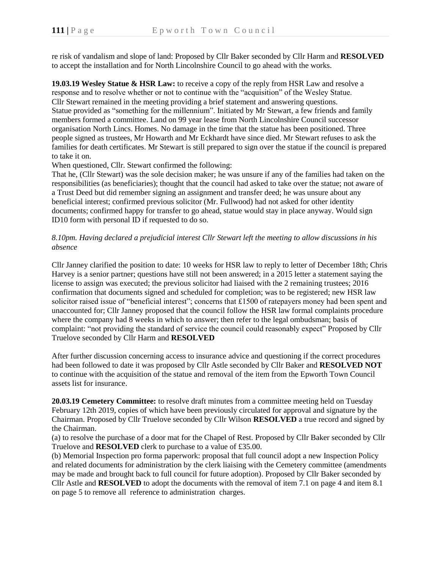re risk of vandalism and slope of land: Proposed by Cllr Baker seconded by Cllr Harm and **RESOLVED** to accept the installation and for North Lincolnshire Council to go ahead with the works.

**19.03.19 Wesley Statue & HSR Law:** to receive a copy of the reply from HSR Law and resolve a response and to resolve whether or not to continue with the "acquisition" of the Wesley Statue. Cllr Stewart remained in the meeting providing a brief statement and answering questions. Statue provided as "something for the millennium". Initiated by Mr Stewart, a few friends and family members formed a committee. Land on 99 year lease from North Lincolnshire Council successor organisation North Lincs. Homes. No damage in the time that the statue has been positioned. Three people signed as trustees, Mr Howarth and Mr Eckhardt have since died. Mr Stewart refuses to ask the families for death certificates. Mr Stewart is still prepared to sign over the statue if the council is prepared to take it on.

When questioned, Cllr. Stewart confirmed the following:

That he, (Cllr Stewart) was the sole decision maker; he was unsure if any of the families had taken on the responsibilities (as beneficiaries); thought that the council had asked to take over the statue; not aware of a Trust Deed but did remember signing an assignment and transfer deed; he was unsure about any beneficial interest; confirmed previous solicitor (Mr. Fullwood) had not asked for other identity documents; confirmed happy for transfer to go ahead, statue would stay in place anyway. Would sign ID10 form with personal ID if requested to do so.

## *8.10pm. Having declared a prejudicial interest Cllr Stewart left the meeting to allow discussions in his absence*

Cllr Janney clarified the position to date: 10 weeks for HSR law to reply to letter of December 18th; Chris Harvey is a senior partner; questions have still not been answered; in a 2015 letter a statement saying the license to assign was executed; the previous solicitor had liaised with the 2 remaining trustees; 2016 confirmation that documents signed and scheduled for completion; was to be registered; new HSR law solicitor raised issue of "beneficial interest"; concerns that £1500 of ratepayers money had been spent and unaccounted for; Cllr Janney proposed that the council follow the HSR law formal complaints procedure where the company had 8 weeks in which to answer; then refer to the legal ombudsman; basis of complaint: "not providing the standard of service the council could reasonably expect" Proposed by Cllr Truelove seconded by Cllr Harm and **RESOLVED**

After further discussion concerning access to insurance advice and questioning if the correct procedures had been followed to date it was proposed by Cllr Astle seconded by Cllr Baker and **RESOLVED NOT** to continue with the acquisition of the statue and removal of the item from the Epworth Town Council assets list for insurance.

**20.03.19 Cemetery Committee:** to resolve draft minutes from a committee meeting held on Tuesday February 12th 2019, copies of which have been previously circulated for approval and signature by the Chairman. Proposed by Cllr Truelove seconded by Cllr Wilson **RESOLVED** a true record and signed by the Chairman.

(a) to resolve the purchase of a door mat for the Chapel of Rest. Proposed by Cllr Baker seconded by Cllr Truelove and **RESOLVED** clerk to purchase to a value of £35.00.

(b) Memorial Inspection pro forma paperwork: proposal that full council adopt a new Inspection Policy and related documents for administration by the clerk liaising with the Cemetery committee (amendments may be made and brought back to full council for future adoption). Proposed by Cllr Baker seconded by Cllr Astle and **RESOLVED** to adopt the documents with the removal of item 7.1 on page 4 and item 8.1 on page 5 to remove all reference to administration charges.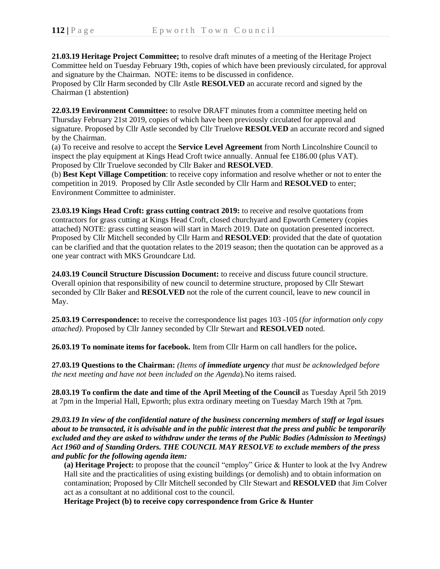**21.03.19 Heritage Project Committee;** to resolve draft minutes of a meeting of the Heritage Project Committee held on Tuesday February 19th, copies of which have been previously circulated, for approval and signature by the Chairman. NOTE: items to be discussed in confidence. Proposed by Cllr Harm seconded by Cllr Astle **RESOLVED** an accurate record and signed by the

Chairman (1 abstention)

**22.03.19 Environment Committee:** to resolve DRAFT minutes from a committee meeting held on Thursday February 21st 2019, copies of which have been previously circulated for approval and signature. Proposed by Cllr Astle seconded by Cllr Truelove **RESOLVED** an accurate record and signed by the Chairman.

(a) To receive and resolve to accept the **Service Level Agreement** from North Lincolnshire Council to inspect the play equipment at Kings Head Croft twice annually. Annual fee £186.00 (plus VAT). Proposed by Cllr Truelove seconded by Cllr Baker and **RESOLVED**.

(b) **Best Kept Village Competition**: to receive copy information and resolve whether or not to enter the competition in 2019. Proposed by Cllr Astle seconded by Cllr Harm and **RESOLVED** to enter; Environment Committee to administer.

**23.03.19 Kings Head Croft: grass cutting contract 2019:** to receive and resolve quotations from contractors for grass cutting at Kings Head Croft, closed churchyard and Epworth Cemetery (copies attached) NOTE: grass cutting season will start in March 2019. Date on quotation presented incorrect. Proposed by Cllr Mitchell seconded by Cllr Harm and **RESOLVED**: provided that the date of quotation can be clarified and that the quotation relates to the 2019 season; then the quotation can be approved as a one year contract with MKS Groundcare Ltd.

**24.03.19 Council Structure Discussion Document:** to receive and discuss future council structure. Overall opinion that responsibility of new council to determine structure, proposed by Cllr Stewart seconded by Cllr Baker and **RESOLVED** not the role of the current council, leave to new council in May.

**25.03.19 Correspondence:** to receive the correspondence list pages 103 -105 (*for information only copy attached)*. Proposed by Cllr Janney seconded by Cllr Stewart and **RESOLVED** noted.

**26.03.19 To nominate items for facebook.** Item from Cllr Harm on call handlers for the police**.**

**27.03.19 Questions to the Chairman:** *(Items of immediate urgency that must be acknowledged before the next meeting and have not been included on the Agenda*)*.*No items raised.

**28.03.19 To confirm the date and time of the April Meeting of the Council** as Tuesday April 5th 2019 at 7pm in the Imperial Hall, Epworth; plus extra ordinary meeting on Tuesday March 19th at 7pm.

*29.03.19 In view of the confidential nature of the business concerning members of staff or legal issues about to be transacted, it is advisable and in the public interest that the press and public be temporarily excluded and they are asked to withdraw under the terms of the Public Bodies (Admission to Meetings) Act 1960 and of Standing Orders. THE COUNCIL MAY RESOLVE to exclude members of the press and public for the following agenda item:*

**(a) Heritage Project:** to propose that the council "employ" Grice & Hunter to look at the Ivy Andrew Hall site and the practicalities of using existing buildings (or demolish) and to obtain information on contamination; Proposed by Cllr Mitchell seconded by Cllr Stewart and **RESOLVED** that Jim Colver act as a consultant at no additional cost to the council.

**Heritage Project (b) to receive copy correspondence from Grice & Hunter**